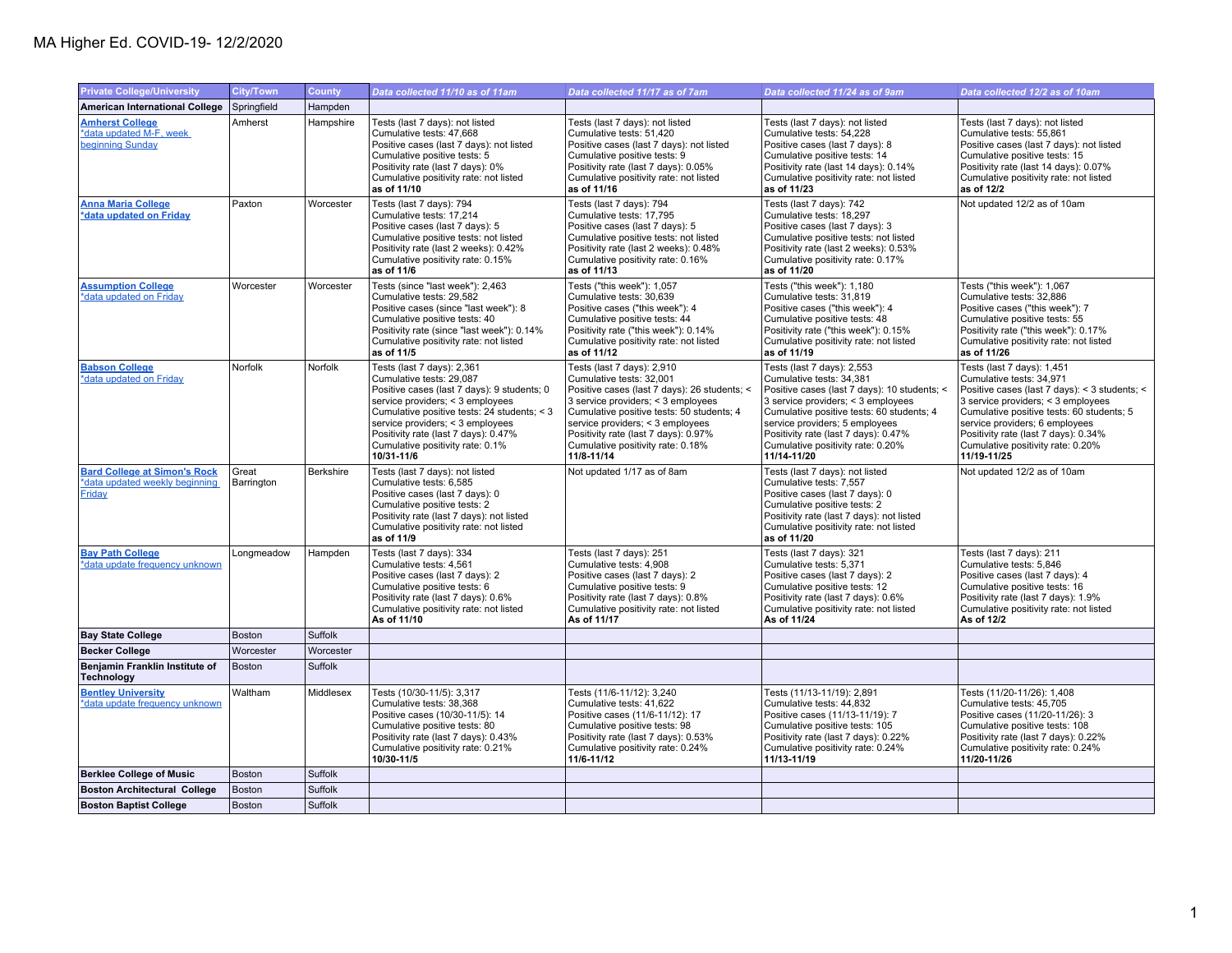## MA Higher Ed. COVID-19- 12/2/2020

| <b>Private College/University</b>                                               | <b>City/Town</b>    | <b>County</b> | Data collected 11/10 as of 11am                                                                                                                                                                                                                                                                                        | Data collected 11/17 as of 7am                                                                                                                                                                                                                                                                                           | Data collected 11/24 as of 9am                                                                                                                                                                                                                                                                                          | Data collected 12/2 as of 10am                                                                                                                                                                                                                                                                                           |
|---------------------------------------------------------------------------------|---------------------|---------------|------------------------------------------------------------------------------------------------------------------------------------------------------------------------------------------------------------------------------------------------------------------------------------------------------------------------|--------------------------------------------------------------------------------------------------------------------------------------------------------------------------------------------------------------------------------------------------------------------------------------------------------------------------|-------------------------------------------------------------------------------------------------------------------------------------------------------------------------------------------------------------------------------------------------------------------------------------------------------------------------|--------------------------------------------------------------------------------------------------------------------------------------------------------------------------------------------------------------------------------------------------------------------------------------------------------------------------|
| <b>American International College</b>                                           | Springfield         | Hampden       |                                                                                                                                                                                                                                                                                                                        |                                                                                                                                                                                                                                                                                                                          |                                                                                                                                                                                                                                                                                                                         |                                                                                                                                                                                                                                                                                                                          |
| <b>Amherst College</b><br>*data updated M-F, week<br>beginning Sunday           | Amherst             | Hampshire     | Tests (last 7 days): not listed<br>Cumulative tests: 47,668<br>Positive cases (last 7 days): not listed<br>Cumulative positive tests: 5<br>Positivity rate (last 7 days): 0%<br>Cumulative positivity rate: not listed<br>as of 11/10                                                                                  | Tests (last 7 days): not listed<br>Cumulative tests: 51,420<br>Positive cases (last 7 days): not listed<br>Cumulative positive tests: 9<br>Positivity rate (last 7 days): 0.05%<br>Cumulative positivity rate: not listed<br>as of 11/16                                                                                 | Tests (last 7 days): not listed<br>Cumulative tests: 54,228<br>Positive cases (last 7 days): 8<br>Cumulative positive tests: 14<br>Positivity rate (last 14 days): 0.14%<br>Cumulative positivity rate: not listed<br>as of 11/23                                                                                       | Tests (last 7 days): not listed<br>Cumulative tests: 55,861<br>Positive cases (last 7 days): not listed<br>Cumulative positive tests: 15<br>Positivity rate (last 14 days): 0.07%<br>Cumulative positivity rate: not listed<br>as of 12/2                                                                                |
| <b>Anna Maria College</b><br>*data updated on Friday                            | Paxton              | Worcester     | Tests (last 7 days): 794<br>Cumulative tests: 17,214<br>Positive cases (last 7 days): 5<br>Cumulative positive tests: not listed<br>Positivity rate (last 2 weeks): 0.42%<br>Cumulative positivity rate: 0.15%<br>as of 11/6                                                                                           | Tests (last 7 days): 794<br>Cumulative tests: 17,795<br>Positive cases (last 7 days): 5<br>Cumulative positive tests: not listed<br>Positivity rate (last 2 weeks): 0.48%<br>Cumulative positivity rate: 0.16%<br>as of 11/13                                                                                            | Tests (last 7 days): 742<br>Cumulative tests: 18,297<br>Positive cases (last 7 days): 3<br>Cumulative positive tests: not listed<br>Positivity rate (last 2 weeks): 0.53%<br>Cumulative positivity rate: 0.17%<br>as of 11/20                                                                                           | Not updated 12/2 as of 10am                                                                                                                                                                                                                                                                                              |
| <b>Assumption College</b><br>*data updated on Friday                            | Worcester           | Worcester     | Tests (since "last week"): 2,463<br>Cumulative tests: 29.582<br>Positive cases (since "last week"): 8<br>Cumulative positive tests: 40<br>Positivity rate (since "last week"): 0.14%<br>Cumulative positivity rate: not listed<br>as of 11/5                                                                           | Tests ("this week"): 1,057<br>Cumulative tests: 30.639<br>Positive cases ("this week"): 4<br>Cumulative positive tests: 44<br>Positivity rate ("this week"): 0.14%<br>Cumulative positivity rate: not listed<br>as of 11/12                                                                                              | Tests ("this week"): 1,180<br>Cumulative tests: 31.819<br>Positive cases ("this week"): 4<br>Cumulative positive tests: 48<br>Positivity rate ("this week"): 0.15%<br>Cumulative positivity rate: not listed<br>as of 11/19                                                                                             | Tests ("this week"): 1,067<br>Cumulative tests: 32.886<br>Positive cases ("this week"): 7<br>Cumulative positive tests: 55<br>Positivity rate ("this week"): 0.17%<br>Cumulative positivity rate: not listed<br>as of 11/26                                                                                              |
| <b>Babson College</b><br>*data updated on Friday                                | Norfolk             | Norfolk       | Tests (last 7 days): 2,361<br>Cumulative tests: 29,087<br>Positive cases (last 7 days): 9 students; 0<br>service providers; < 3 employees<br>Cumulative positive tests: 24 students; < 3<br>service providers; < 3 employees<br>Positivity rate (last 7 days): 0.47%<br>Cumulative positivity rate: 0.1%<br>10/31-11/6 | Tests (last 7 days): 2,910<br>Cumulative tests: 32,001<br>Positive cases (last 7 days): 26 students; <<br>3 service providers; < 3 employees<br>Cumulative positive tests: 50 students; 4<br>service providers; < 3 employees<br>Positivity rate (last 7 days): 0.97%<br>Cumulative positivity rate: 0.18%<br>11/8-11/14 | Tests (last 7 days): 2,553<br>Cumulative tests: 34,381<br>Positive cases (last 7 days): 10 students; <<br>3 service providers; < 3 employees<br>Cumulative positive tests: 60 students; 4<br>service providers; 5 employees<br>Positivity rate (last 7 days): 0.47%<br>Cumulative positivity rate: 0.20%<br>11/14-11/20 | Tests (last 7 days): 1,451<br>Cumulative tests: 34,971<br>Positive cases (last 7 days): < 3 students; <<br>3 service providers; < 3 employees<br>Cumulative positive tests: 60 students; 5<br>service providers; 6 employees<br>Positivity rate (last 7 days): 0.34%<br>Cumulative positivity rate: 0.20%<br>11/19-11/25 |
| <b>Bard College at Simon's Rock</b><br>*data updated weekly beginning<br>Friday | Great<br>Barrington | Berkshire     | Tests (last 7 days): not listed<br>Cumulative tests: 6,585<br>Positive cases (last 7 days): 0<br>Cumulative positive tests: 2<br>Positivity rate (last 7 days): not listed<br>Cumulative positivity rate: not listed<br>as of 11/9                                                                                     | Not updated 1/17 as of 8am                                                                                                                                                                                                                                                                                               | Tests (last 7 days): not listed<br>Cumulative tests: 7,557<br>Positive cases (last 7 days): 0<br>Cumulative positive tests: 2<br>Positivity rate (last 7 days): not listed<br>Cumulative positivity rate: not listed<br>as of 11/20                                                                                     | Not updated 12/2 as of 10am                                                                                                                                                                                                                                                                                              |
| <b>Bay Path College</b><br>*data update frequency unknown                       | Longmeadow          | Hampden       | Tests (last 7 days): 334<br>Cumulative tests: 4,561<br>Positive cases (last 7 days): 2<br>Cumulative positive tests: 6<br>Positivity rate (last 7 days): 0.6%<br>Cumulative positivity rate: not listed<br>As of 11/10                                                                                                 | Tests (last 7 days): 251<br>Cumulative tests: 4,908<br>Positive cases (last 7 days): 2<br>Cumulative positive tests: 9<br>Positivity rate (last 7 days): 0.8%<br>Cumulative positivity rate: not listed<br>As of 11/17                                                                                                   | Tests (last 7 days): 321<br>Cumulative tests: 5,371<br>Positive cases (last 7 days): 2<br>Cumulative positive tests: 12<br>Positivity rate (last 7 days): 0.6%<br>Cumulative positivity rate: not listed<br>As of 11/24                                                                                                 | Tests (last 7 days): 211<br>Cumulative tests: 5,846<br>Positive cases (last 7 days): 4<br>Cumulative positive tests: 16<br>Positivity rate (last 7 days): 1.9%<br>Cumulative positivity rate: not listed<br>As of 12/2                                                                                                   |
| <b>Bay State College</b>                                                        | <b>Boston</b>       | Suffolk       |                                                                                                                                                                                                                                                                                                                        |                                                                                                                                                                                                                                                                                                                          |                                                                                                                                                                                                                                                                                                                         |                                                                                                                                                                                                                                                                                                                          |
| <b>Becker College</b>                                                           | Worcester           | Worcester     |                                                                                                                                                                                                                                                                                                                        |                                                                                                                                                                                                                                                                                                                          |                                                                                                                                                                                                                                                                                                                         |                                                                                                                                                                                                                                                                                                                          |
| Benjamin Franklin Institute of<br>Technology                                    | <b>Boston</b>       | Suffolk       |                                                                                                                                                                                                                                                                                                                        |                                                                                                                                                                                                                                                                                                                          |                                                                                                                                                                                                                                                                                                                         |                                                                                                                                                                                                                                                                                                                          |
| <b>Bentley University</b><br>*data update frequency unknown                     | Waltham             | Middlesex     | Tests (10/30-11/5): 3,317<br>Cumulative tests: 38,368<br>Positive cases (10/30-11/5): 14<br>Cumulative positive tests: 80<br>Positivity rate (last 7 days): 0.43%<br>Cumulative positivity rate: 0.21%<br>10/30-11/5                                                                                                   | Tests (11/6-11/12): 3,240<br>Cumulative tests: 41,622<br>Positive cases (11/6-11/12): 17<br>Cumulative positive tests: 98<br>Positivity rate (last 7 days): 0.53%<br>Cumulative positivity rate: 0.24%<br>11/6-11/12                                                                                                     | Tests (11/13-11/19): 2,891<br>Cumulative tests: 44,832<br>Positive cases (11/13-11/19): 7<br>Cumulative positive tests: 105<br>Positivity rate (last 7 days): 0.22%<br>Cumulative positivity rate: 0.24%<br>11/13-11/19                                                                                                 | Tests (11/20-11/26): 1,408<br>Cumulative tests: 45,705<br>Positive cases (11/20-11/26): 3<br>Cumulative positive tests: 108<br>Positivity rate (last 7 days): 0.22%<br>Cumulative positivity rate: 0.24%<br>11/20-11/26                                                                                                  |
| <b>Berklee College of Music</b>                                                 | <b>Boston</b>       | Suffolk       |                                                                                                                                                                                                                                                                                                                        |                                                                                                                                                                                                                                                                                                                          |                                                                                                                                                                                                                                                                                                                         |                                                                                                                                                                                                                                                                                                                          |
| <b>Boston Architectural College</b>                                             | <b>Boston</b>       | Suffolk       |                                                                                                                                                                                                                                                                                                                        |                                                                                                                                                                                                                                                                                                                          |                                                                                                                                                                                                                                                                                                                         |                                                                                                                                                                                                                                                                                                                          |
| <b>Boston Baptist College</b>                                                   | <b>Boston</b>       | Suffolk       |                                                                                                                                                                                                                                                                                                                        |                                                                                                                                                                                                                                                                                                                          |                                                                                                                                                                                                                                                                                                                         |                                                                                                                                                                                                                                                                                                                          |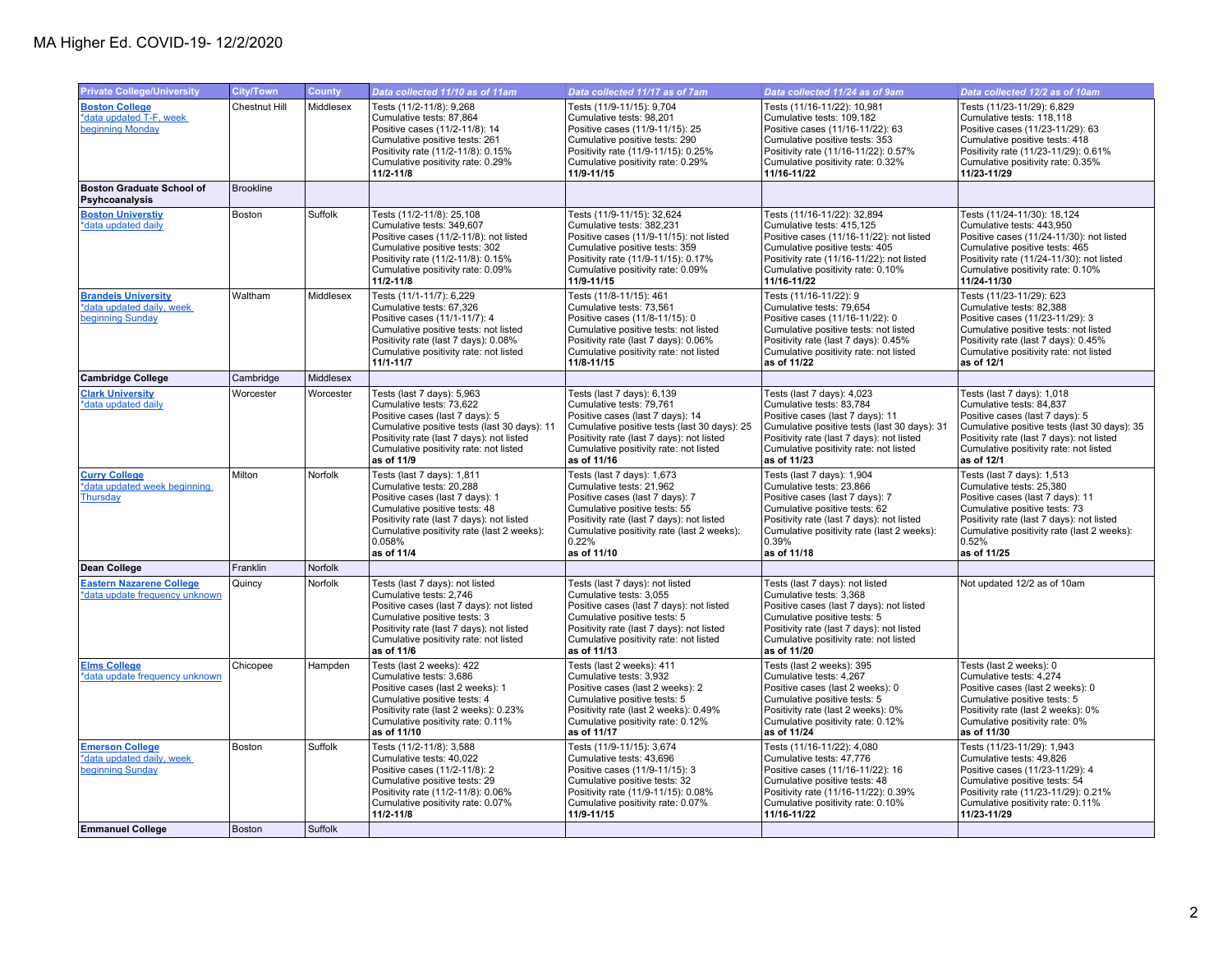| <b>Private College/University</b>                                           | <b>City/Town</b> | County         | Data collected 11/10 as of 11am                                                                                                                                                                                                                | Data collected 11/17 as of 7am                                                                                                                                                                                                                   | Data collected 11/24 as of 9am                                                                                                                                                                                                                   | Data collected 12/2 as of 10am                                                                                                                                                                                                                 |
|-----------------------------------------------------------------------------|------------------|----------------|------------------------------------------------------------------------------------------------------------------------------------------------------------------------------------------------------------------------------------------------|--------------------------------------------------------------------------------------------------------------------------------------------------------------------------------------------------------------------------------------------------|--------------------------------------------------------------------------------------------------------------------------------------------------------------------------------------------------------------------------------------------------|------------------------------------------------------------------------------------------------------------------------------------------------------------------------------------------------------------------------------------------------|
| <b>Boston College</b><br>*data updated T-F, week<br>beginning Monday        | Chestnut Hill    | Middlesex      | Tests (11/2-11/8): 9,268<br>Cumulative tests: 87,864<br>Positive cases (11/2-11/8): 14<br>Cumulative positive tests: 261<br>Positivity rate (11/2-11/8): 0.15%<br>Cumulative positivity rate: 0.29%<br>$11/2 - 11/8$                           | Tests (11/9-11/15): 9,704<br>Cumulative tests: 98,201<br>Positive cases (11/9-11/15): 25<br>Cumulative positive tests: 290<br>Positivity rate (11/9-11/15): 0.25%<br>Cumulative positivity rate: 0.29%<br>11/9-11/15                             | Tests (11/16-11/22): 10,981<br>Cumulative tests: 109,182<br>Positive cases (11/16-11/22): 63<br>Cumulative positive tests: 353<br>Positivity rate (11/16-11/22): 0.57%<br>Cumulative positivity rate: 0.32%<br>11/16-11/22                       | Tests (11/23-11/29): 6,829<br>Cumulative tests: 118,118<br>Positive cases (11/23-11/29): 63<br>Cumulative positive tests: 418<br>Positivity rate (11/23-11/29): 0.61%<br>Cumulative positivity rate: 0.35%<br>11/23-11/29                      |
| <b>Boston Graduate School of</b><br>Psyhcoanalysis                          | <b>Brookline</b> |                |                                                                                                                                                                                                                                                |                                                                                                                                                                                                                                                  |                                                                                                                                                                                                                                                  |                                                                                                                                                                                                                                                |
| <b>Boston Universtiv</b><br>*data updated daily                             | Boston           | <b>Suffolk</b> | Tests (11/2-11/8): 25,108<br>Cumulative tests: 349,607<br>Positive cases (11/2-11/8): not listed<br>Cumulative positive tests: 302<br>Positivity rate (11/2-11/8): 0.15%<br>Cumulative positivity rate: 0.09%<br>11/2-11/8                     | Tests (11/9-11/15): 32.624<br>Cumulative tests: 382,231<br>Positive cases (11/9-11/15): not listed<br>Cumulative positive tests: 359<br>Positivity rate (11/9-11/15): 0.17%<br>Cumulative positivity rate: 0.09%<br>11/9-11/15                   | Tests (11/16-11/22): 32.894<br>Cumulative tests: 415,125<br>Positive cases (11/16-11/22): not listed<br>Cumulative positive tests: 405<br>Positivity rate (11/16-11/22): not listed<br>Cumulative positivity rate: 0.10%<br>11/16-11/22          | Tests (11/24-11/30): 18,124<br>Cumulative tests: 443,950<br>Positive cases (11/24-11/30): not listed<br>Cumulative positive tests: 465<br>Positivity rate (11/24-11/30): not listed<br>Cumulative positivity rate: 0.10%<br>11/24-11/30        |
| <b>Brandeis University</b><br>*data updated daily, week<br>beginning Sunday | Waltham          | Middlesex      | Tests (11/1-11/7): 6,229<br>Cumulative tests: 67,326<br>Positive cases (11/1-11/7): 4<br>Cumulative positive tests: not listed<br>Positivity rate (last 7 days): 0.08%<br>Cumulative positivity rate: not listed<br>11/1-11/7                  | Tests (11/8-11/15): 461<br>Cumulative tests: 73,561<br>Positive cases (11/8-11/15): 0<br>Cumulative positive tests: not listed<br>Positivity rate (last 7 days): 0.06%<br>Cumulative positivity rate: not listed<br>11/8-11/15                   | Tests (11/16-11/22): 9<br>Cumulative tests: 79,654<br>Positive cases (11/16-11/22): 0<br>Cumulative positive tests: not listed<br>Positivity rate (last 7 days): 0.45%<br>Cumulative positivity rate: not listed<br>as of 11/22                  | Tests (11/23-11/29): 623<br>Cumulative tests: 82,388<br>Positive cases (11/23-11/29): 3<br>Cumulative positive tests: not listed<br>Positivity rate (last 7 days): 0.45%<br>Cumulative positivity rate: not listed<br>as of 12/1               |
| <b>Cambridge College</b>                                                    | Cambridge        | Middlesex      |                                                                                                                                                                                                                                                |                                                                                                                                                                                                                                                  |                                                                                                                                                                                                                                                  |                                                                                                                                                                                                                                                |
| <b>Clark University</b><br>*data updated daily                              | Worcester        | Worcester      | Tests (last 7 days): 5,963<br>Cumulative tests: 73,622<br>Positive cases (last 7 days): 5<br>Cumulative positive tests (last 30 days): 11<br>Positivity rate (last 7 days): not listed<br>Cumulative positivity rate: not listed<br>as of 11/9 | Tests (last 7 days): 6,139<br>Cumulative tests: 79,761<br>Positive cases (last 7 days): 14<br>Cumulative positive tests (last 30 days): 25<br>Positivity rate (last 7 days): not listed<br>Cumulative positivity rate: not listed<br>as of 11/16 | Tests (last 7 days): 4,023<br>Cumulative tests: 83,784<br>Positive cases (last 7 days): 11<br>Cumulative positive tests (last 30 days): 31<br>Positivity rate (last 7 days): not listed<br>Cumulative positivity rate: not listed<br>as of 11/23 | Tests (last 7 days): 1,018<br>Cumulative tests: 84,837<br>Positive cases (last 7 days): 5<br>Cumulative positive tests (last 30 days): 35<br>Positivity rate (last 7 days): not listed<br>Cumulative positivity rate: not listed<br>as of 12/1 |
| <b>Curry College</b><br>*data updated week beginning<br>Thursday            | Milton           | Norfolk        | Tests (last 7 days): 1,811<br>Cumulative tests: 20,288<br>Positive cases (last 7 days): 1<br>Cumulative positive tests: 48<br>Positivity rate (last 7 days): not listed<br>Cumulative positivity rate (last 2 weeks):<br>0.058%<br>as of 11/4  | Tests (last 7 days): 1,673<br>Cumulative tests: 21,962<br>Positive cases (last 7 days): 7<br>Cumulative positive tests: 55<br>Positivity rate (last 7 days): not listed<br>Cumulative positivity rate (last 2 weeks):<br>0.22%<br>as of 11/10    | Tests (last 7 days): 1,904<br>Cumulative tests: 23,866<br>Positive cases (last 7 days): 7<br>Cumulative positive tests: 62<br>Positivity rate (last 7 days): not listed<br>Cumulative positivity rate (last 2 weeks):<br>0.39%<br>as of 11/18    | Tests (last 7 days): 1,513<br>Cumulative tests: 25,380<br>Positive cases (last 7 days): 11<br>Cumulative positive tests: 73<br>Positivity rate (last 7 days): not listed<br>Cumulative positivity rate (last 2 weeks):<br>0.52%<br>as of 11/25 |
| Dean College                                                                | Franklin         | Norfolk        |                                                                                                                                                                                                                                                |                                                                                                                                                                                                                                                  |                                                                                                                                                                                                                                                  |                                                                                                                                                                                                                                                |
| <b>Eastern Nazarene College</b><br>*data update frequency unknown           | Quincy           | Norfolk        | Tests (last 7 days): not listed<br>Cumulative tests: 2,746<br>Positive cases (last 7 days): not listed<br>Cumulative positive tests: 3<br>Positivity rate (last 7 days): not listed<br>Cumulative positivity rate: not listed<br>as of 11/6    | Tests (last 7 days): not listed<br>Cumulative tests: 3,055<br>Positive cases (last 7 days): not listed<br>Cumulative positive tests: 5<br>Positivity rate (last 7 days): not listed<br>Cumulative positivity rate: not listed<br>as of 11/13     | Tests (last 7 days): not listed<br>Cumulative tests: 3,368<br>Positive cases (last 7 days): not listed<br>Cumulative positive tests: 5<br>Positivity rate (last 7 days): not listed<br>Cumulative positivity rate: not listed<br>as of 11/20     | Not updated 12/2 as of 10am                                                                                                                                                                                                                    |
| <b>Elms College</b><br>*data update frequency unknown                       | Chicopee         | Hampden        | Tests (last 2 weeks): 422<br>Cumulative tests: 3,686<br>Positive cases (last 2 weeks): 1<br>Cumulative positive tests: 4<br>Positivity rate (last 2 weeks): 0.23%<br>Cumulative positivity rate: 0.11%<br>as of 11/10                          | Tests (last 2 weeks): 411<br>Cumulative tests: 3,932<br>Positive cases (last 2 weeks): 2<br>Cumulative positive tests: 5<br>Positivity rate (last 2 weeks): 0.49%<br>Cumulative positivity rate: 0.12%<br>as of 11/17                            | Tests (last 2 weeks): 395<br>Cumulative tests: 4,267<br>Positive cases (last 2 weeks): 0<br>Cumulative positive tests: 5<br>Positivity rate (last 2 weeks): 0%<br>Cumulative positivity rate: 0.12%<br>as of 11/24                               | Tests (last 2 weeks): 0<br>Cumulative tests: 4,274<br>Positive cases (last 2 weeks): 0<br>Cumulative positive tests: 5<br>Positivity rate (last 2 weeks): 0%<br>Cumulative positivity rate: 0%<br>as of 11/30                                  |
| <b>Emerson College</b><br>*data updated daily, week<br>beginning Sunday     | Boston           | Suffolk        | Tests (11/2-11/8): 3,588<br>Cumulative tests: 40.022<br>Positive cases (11/2-11/8): 2<br>Cumulative positive tests: 29<br>Positivity rate (11/2-11/8): 0.06%<br>Cumulative positivity rate: 0.07%<br>11/2-11/8                                 | Tests (11/9-11/15): 3,674<br>Cumulative tests: 43.696<br>Positive cases (11/9-11/15): 3<br>Cumulative positive tests: 32<br>Positivity rate (11/9-11/15): 0.08%<br>Cumulative positivity rate: 0.07%<br>11/9-11/15                               | Tests (11/16-11/22): 4,080<br>Cumulative tests: 47.776<br>Positive cases (11/16-11/22): 16<br>Cumulative positive tests: 48<br>Positivity rate (11/16-11/22): 0.39%<br>Cumulative positivity rate: 0.10%<br>11/16-11/22                          | Tests (11/23-11/29): 1,943<br>Cumulative tests: 49.826<br>Positive cases (11/23-11/29): 4<br>Cumulative positive tests: 54<br>Positivity rate (11/23-11/29): 0.21%<br>Cumulative positivity rate: 0.11%<br>11/23-11/29                         |
| <b>Emmanuel College</b>                                                     | <b>Boston</b>    | Suffolk        |                                                                                                                                                                                                                                                |                                                                                                                                                                                                                                                  |                                                                                                                                                                                                                                                  |                                                                                                                                                                                                                                                |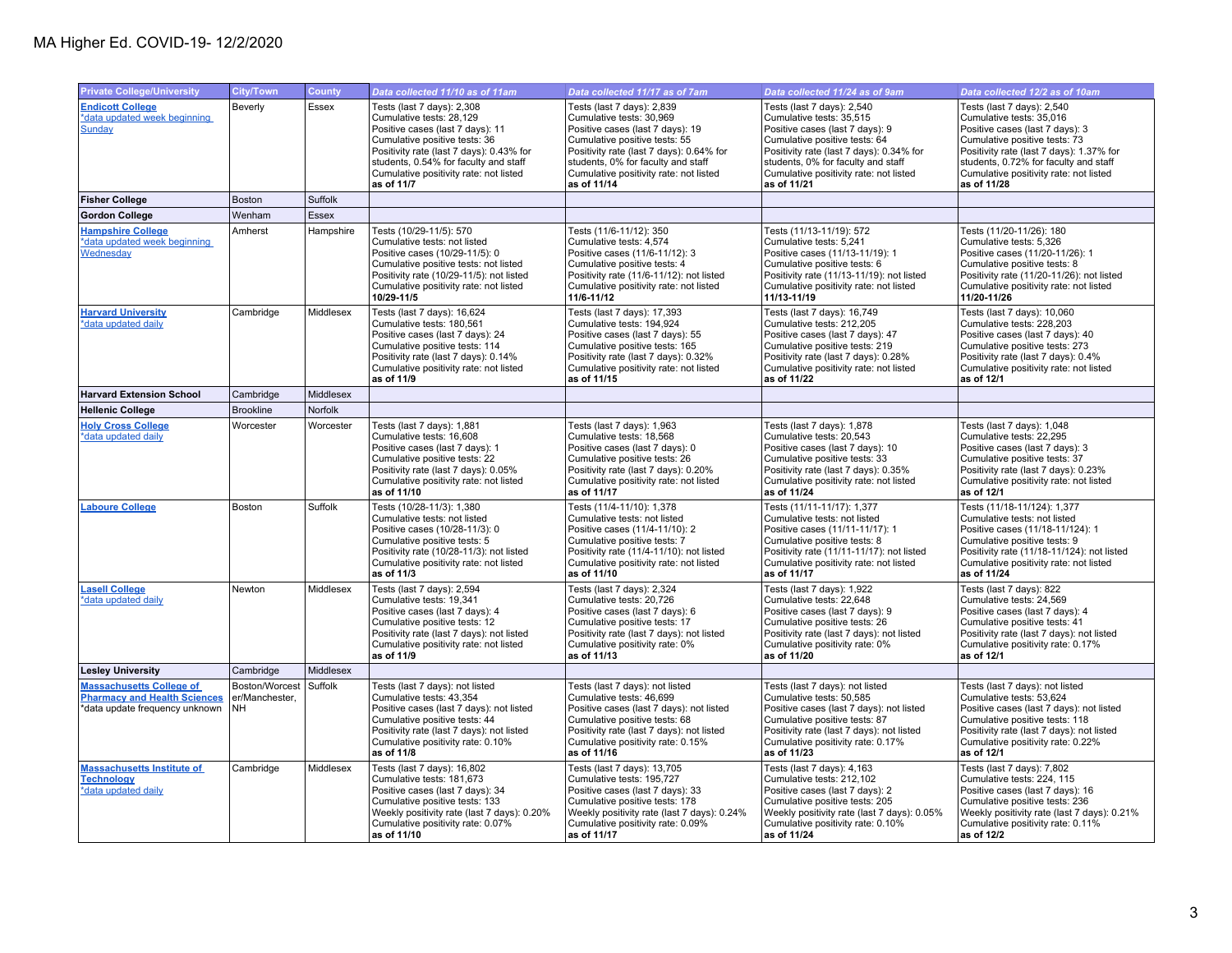| <b>Private College/University</b>                                                                        | <b>City/Town</b>                        | County       | Data collected 11/10 as of 11am                                                                                                                                                                                                                                          | Data collected 11/17 as of 7am                                                                                                                                                                                                                                         | Data collected 11/24 as of 9am                                                                                                                                                                                                                                        | Data collected 12/2 as of 10am                                                                                                                                                                                                                                           |
|----------------------------------------------------------------------------------------------------------|-----------------------------------------|--------------|--------------------------------------------------------------------------------------------------------------------------------------------------------------------------------------------------------------------------------------------------------------------------|------------------------------------------------------------------------------------------------------------------------------------------------------------------------------------------------------------------------------------------------------------------------|-----------------------------------------------------------------------------------------------------------------------------------------------------------------------------------------------------------------------------------------------------------------------|--------------------------------------------------------------------------------------------------------------------------------------------------------------------------------------------------------------------------------------------------------------------------|
| <b>Endicott College</b><br>*data updated week beginning<br>Sunday                                        | Beverly                                 | <b>Essex</b> | Tests (last 7 days): 2,308<br>Cumulative tests: 28,129<br>Positive cases (last 7 days): 11<br>Cumulative positive tests: 36<br>Positivity rate (last 7 days): 0.43% for<br>students, 0.54% for faculty and staff<br>Cumulative positivity rate: not listed<br>as of 11/7 | Tests (last 7 days): 2,839<br>Cumulative tests: 30,969<br>Positive cases (last 7 days): 19<br>Cumulative positive tests: 55<br>Positivity rate (last 7 days): 0.64% for<br>students, 0% for faculty and staff<br>Cumulative positivity rate: not listed<br>as of 11/14 | Tests (last 7 days): 2,540<br>Cumulative tests: 35,515<br>Positive cases (last 7 days): 9<br>Cumulative positive tests: 64<br>Positivity rate (last 7 days): 0.34% for<br>students, 0% for faculty and staff<br>Cumulative positivity rate: not listed<br>as of 11/21 | Tests (last 7 days): 2,540<br>Cumulative tests: 35,016<br>Positive cases (last 7 days): 3<br>Cumulative positive tests: 73<br>Positivity rate (last 7 days): 1.37% for<br>students, 0.72% for faculty and staff<br>Cumulative positivity rate: not listed<br>as of 11/28 |
| <b>Fisher College</b>                                                                                    | <b>Boston</b>                           | Suffolk      |                                                                                                                                                                                                                                                                          |                                                                                                                                                                                                                                                                        |                                                                                                                                                                                                                                                                       |                                                                                                                                                                                                                                                                          |
| <b>Gordon College</b>                                                                                    | Wenham                                  | Essex        |                                                                                                                                                                                                                                                                          |                                                                                                                                                                                                                                                                        |                                                                                                                                                                                                                                                                       |                                                                                                                                                                                                                                                                          |
| <b>Hampshire College</b><br>*data updated week beginning<br>Wednesday                                    | Amherst                                 | Hampshire    | Tests (10/29-11/5): 570<br>Cumulative tests: not listed<br>Positive cases (10/29-11/5): 0<br>Cumulative positive tests: not listed<br>Positivity rate (10/29-11/5): not listed<br>Cumulative positivity rate: not listed<br>10/29-11/5                                   | Tests (11/6-11/12): 350<br>Cumulative tests: 4,574<br>Positive cases (11/6-11/12): 3<br>Cumulative positive tests: 4<br>Positivity rate (11/6-11/12): not listed<br>Cumulative positivity rate: not listed<br>11/6-11/12                                               | Tests (11/13-11/19): 572<br>Cumulative tests: 5,241<br>Positive cases (11/13-11/19): 1<br>Cumulative positive tests: 6<br>Positivity rate (11/13-11/19): not listed<br>Cumulative positivity rate: not listed<br>11/13-11/19                                          | Tests (11/20-11/26): 180<br>Cumulative tests: 5,326<br>Positive cases (11/20-11/26): 1<br>Cumulative positive tests: 8<br>Positivity rate (11/20-11/26): not listed<br>Cumulative positivity rate: not listed<br>11/20-11/26                                             |
| <b>Harvard University</b><br>*data updated daily                                                         | Cambridge                               | Middlesex    | Tests (last 7 days): 16,624<br>Cumulative tests: 180,561<br>Positive cases (last 7 days): 24<br>Cumulative positive tests: 114<br>Positivity rate (last 7 days): 0.14%<br>Cumulative positivity rate: not listed<br>as of 11/9                                           | Tests (last 7 days): 17,393<br>Cumulative tests: 194,924<br>Positive cases (last 7 days): 55<br>Cumulative positive tests: 165<br>Positivity rate (last 7 days): 0.32%<br>Cumulative positivity rate: not listed<br>as of 11/15                                        | Tests (last 7 days): 16,749<br>Cumulative tests: 212,205<br>Positive cases (last 7 days): 47<br>Cumulative positive tests: 219<br>Positivity rate (last 7 days): 0.28%<br>Cumulative positivity rate: not listed<br>as of 11/22                                       | Tests (last 7 days): 10,060<br>Cumulative tests: 228,203<br>Positive cases (last 7 days): 40<br>Cumulative positive tests: 273<br>Positivity rate (last 7 days): 0.4%<br>Cumulative positivity rate: not listed<br>as of 12/1                                            |
| <b>Harvard Extension School</b>                                                                          | Cambridge                               | Middlesex    |                                                                                                                                                                                                                                                                          |                                                                                                                                                                                                                                                                        |                                                                                                                                                                                                                                                                       |                                                                                                                                                                                                                                                                          |
| <b>Hellenic College</b>                                                                                  | <b>Brookline</b>                        | Norfolk      |                                                                                                                                                                                                                                                                          |                                                                                                                                                                                                                                                                        |                                                                                                                                                                                                                                                                       |                                                                                                                                                                                                                                                                          |
| <b>Holy Cross College</b><br>*data updated daily                                                         | Worcester                               | Worcester    | Tests (last 7 days): 1,881<br>Cumulative tests: 16,608<br>Positive cases (last 7 days): 1<br>Cumulative positive tests: 22<br>Positivity rate (last 7 days): 0.05%<br>Cumulative positivity rate: not listed<br>as of 11/10                                              | Tests (last 7 days): 1,963<br>Cumulative tests: 18,568<br>Positive cases (last 7 days): 0<br>Cumulative positive tests: 26<br>Positivity rate (last 7 days): 0.20%<br>Cumulative positivity rate: not listed<br>as of 11/17                                            | Tests (last 7 days): 1,878<br>Cumulative tests: 20,543<br>Positive cases (last 7 days): 10<br>Cumulative positive tests: 33<br>Positivity rate (last 7 days): 0.35%<br>Cumulative positivity rate: not listed<br>as of 11/24                                          | Tests (last 7 days): 1,048<br>Cumulative tests: 22,295<br>Positive cases (last 7 days): 3<br>Cumulative positive tests: 37<br>Positivity rate (last 7 days): 0.23%<br>Cumulative positivity rate: not listed<br>as of 12/1                                               |
| <b>Laboure College</b>                                                                                   | Boston                                  | Suffolk      | Tests (10/28-11/3): 1,380<br>Cumulative tests: not listed<br>Positive cases (10/28-11/3): 0<br>Cumulative positive tests: 5<br>Positivity rate (10/28-11/3): not listed<br>Cumulative positivity rate: not listed<br>as of 11/3                                          | Tests (11/4-11/10): 1,378<br>Cumulative tests: not listed<br>Positive cases (11/4-11/10): 2<br>Cumulative positive tests: 7<br>Positivity rate (11/4-11/10): not listed<br>Cumulative positivity rate: not listed<br>as of 11/10                                       | Tests (11/11-11/17): 1,377<br>Cumulative tests: not listed<br>Positive cases (11/11-11/17): 1<br>Cumulative positive tests: 8<br>Positivity rate (11/11-11/17): not listed<br>Cumulative positivity rate: not listed<br>as of 11/17                                   | Tests (11/18-11/124): 1,377<br>Cumulative tests: not listed<br>Positive cases (11/18-11/124): 1<br>Cumulative positive tests: 9<br>Positivity rate (11/18-11/124): not listed<br>Cumulative positivity rate: not listed<br>as of 11/24                                   |
| <b>Lasell College</b><br>*data updated daily                                                             | Newton                                  | Middlesex    | Tests (last 7 days): 2,594<br>Cumulative tests: 19,341<br>Positive cases (last 7 days): 4<br>Cumulative positive tests: 12<br>Positivity rate (last 7 days): not listed<br>Cumulative positivity rate: not listed<br>as of 11/9                                          | Tests (last 7 days): 2,324<br>Cumulative tests: 20,726<br>Positive cases (last 7 days): 6<br>Cumulative positive tests: 17<br>Positivity rate (last 7 days): not listed<br>Cumulative positivity rate: 0%<br>as of 11/13                                               | Tests (last 7 days): 1,922<br>Cumulative tests: 22,648<br>Positive cases (last 7 days): 9<br>Cumulative positive tests: 26<br>Positivity rate (last 7 days): not listed<br>Cumulative positivity rate: 0%<br>as of 11/20                                              | Tests (last 7 days): 822<br>Cumulative tests: 24,569<br>Positive cases (last 7 days): 4<br>Cumulative positive tests: 41<br>Positivity rate (last 7 days): not listed<br>Cumulative positivity rate: 0.17%<br>as of 12/1                                                 |
| <b>Lesley University</b>                                                                                 | Cambridge                               | Middlesex    |                                                                                                                                                                                                                                                                          |                                                                                                                                                                                                                                                                        |                                                                                                                                                                                                                                                                       |                                                                                                                                                                                                                                                                          |
| <b>Massachusetts College of</b><br><b>Pharmacy and Health Sciences</b><br>*data update frequency unknown | Boston/Worcest<br>er/Manchester,<br>NH. | Suffolk      | Tests (last 7 days): not listed<br>Cumulative tests: 43,354<br>Positive cases (last 7 days): not listed<br>Cumulative positive tests: 44<br>Positivity rate (last 7 days): not listed<br>Cumulative positivity rate: 0.10%<br>as of 11/8                                 | Tests (last 7 days): not listed<br>Cumulative tests: 46,699<br>Positive cases (last 7 days): not listed<br>Cumulative positive tests: 68<br>Positivity rate (last 7 days): not listed<br>Cumulative positivity rate: 0.15%<br>as of 11/16                              | Tests (last 7 days): not listed<br>Cumulative tests: 50,585<br>Positive cases (last 7 days): not listed<br>Cumulative positive tests: 87<br>Positivity rate (last 7 days): not listed<br>Cumulative positivity rate: 0.17%<br>as of 11/23                             | Tests (last 7 days): not listed<br>Cumulative tests: 53,624<br>Positive cases (last 7 days): not listed<br>Cumulative positive tests: 118<br>Positivity rate (last 7 days): not listed<br>Cumulative positivity rate: 0.22%<br>as of 12/1                                |
| <b>Massachusetts Institute of</b><br><b>Technology</b><br>*data updated daily                            | Cambridge                               | Middlesex    | Tests (last 7 days): 16,802<br>Cumulative tests: 181,673<br>Positive cases (last 7 days): 34<br>Cumulative positive tests: 133<br>Weekly positivity rate (last 7 days): 0.20%<br>Cumulative positivity rate: 0.07%<br>as of 11/10                                        | Tests (last 7 days): 13,705<br>Cumulative tests: 195,727<br>Positive cases (last 7 days): 33<br>Cumulative positive tests: 178<br>Weekly positivity rate (last 7 days): 0.24%<br>Cumulative positivity rate: 0.09%<br>as of 11/17                                      | Tests (last 7 days): 4,163<br>Cumulative tests: 212,102<br>Positive cases (last 7 days): 2<br>Cumulative positive tests: 205<br>Weekly positivity rate (last 7 days): 0.05%<br>Cumulative positivity rate: 0.10%<br>as of 11/24                                       | Tests (last 7 days): 7,802<br>Cumulative tests: 224, 115<br>Positive cases (last 7 days): 16<br>Cumulative positive tests: 236<br>Weekly positivity rate (last 7 days): 0.21%<br>Cumulative positivity rate: 0.11%<br>as of 12/2                                         |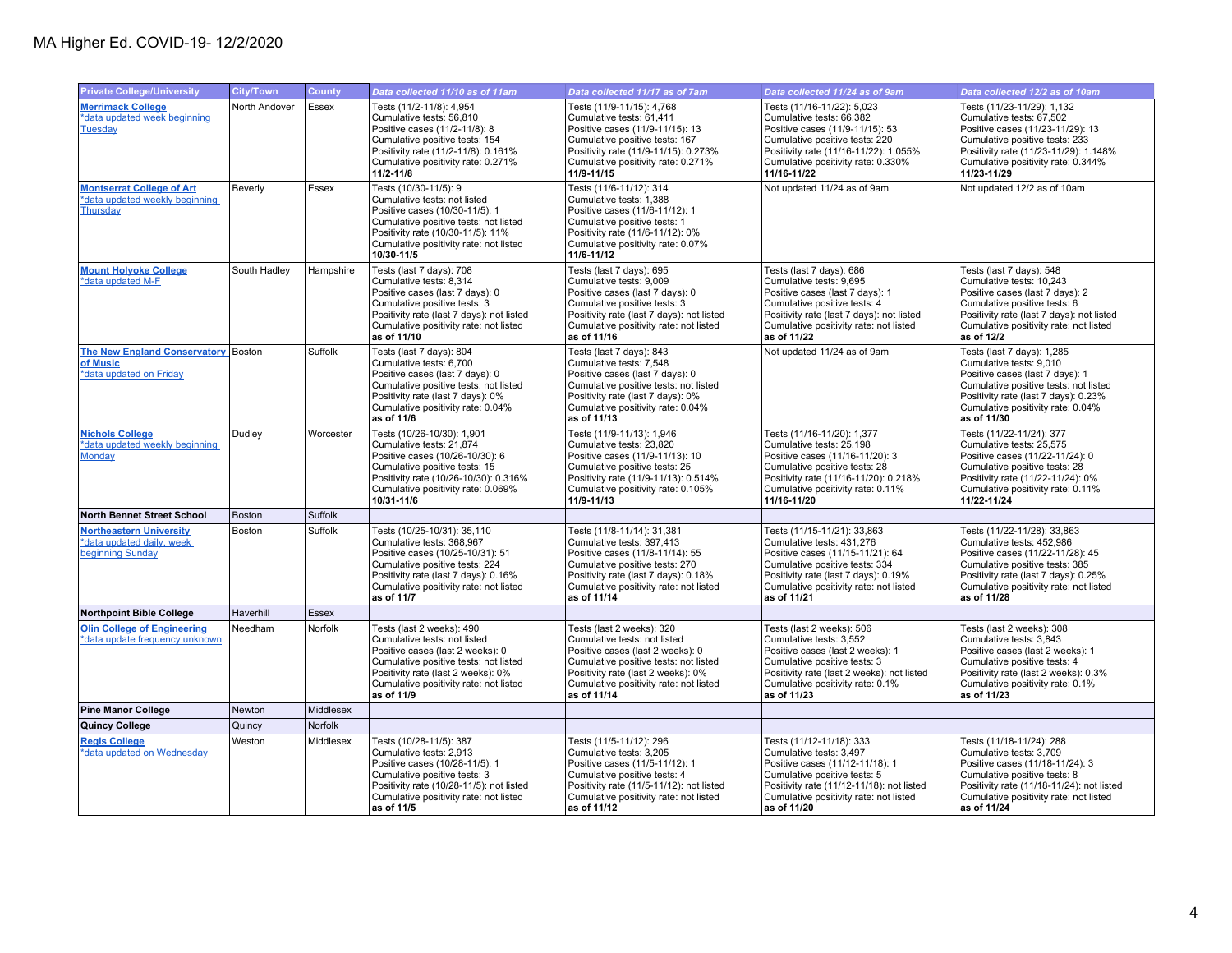| <b>Private College/University</b>                                               | <b>City/Town</b> | <b>County</b> | Data collected 11/10 as of 11am                                                                                                                                                                                                      | Data collected 11/17 as of 7am                                                                                                                                                                                                        | Data collected 11/24 as of 9am                                                                                                                                                                                                  | Data collected 12/2 as of 10am                                                                                                                                                                                                  |
|---------------------------------------------------------------------------------|------------------|---------------|--------------------------------------------------------------------------------------------------------------------------------------------------------------------------------------------------------------------------------------|---------------------------------------------------------------------------------------------------------------------------------------------------------------------------------------------------------------------------------------|---------------------------------------------------------------------------------------------------------------------------------------------------------------------------------------------------------------------------------|---------------------------------------------------------------------------------------------------------------------------------------------------------------------------------------------------------------------------------|
| <b>Merrimack College</b><br>*data updated week beginning<br>Tuesday             | North Andover    | Essex         | Tests (11/2-11/8): 4,954<br>Cumulative tests: 56,810<br>Positive cases (11/2-11/8): 8<br>Cumulative positive tests: 154<br>Positivity rate (11/2-11/8): 0.161%<br>Cumulative positivity rate: 0.271%<br>11/2-11/8                    | Tests (11/9-11/15): 4,768<br>Cumulative tests: 61,411<br>Positive cases (11/9-11/15): 13<br>Cumulative positive tests: 167<br>Positivity rate (11/9-11/15): 0.273%<br>Cumulative positivity rate: 0.271%<br>11/9-11/15                | Tests (11/16-11/22): 5,023<br>Cumulative tests: 66,382<br>Positive cases (11/9-11/15): 53<br>Cumulative positive tests: 220<br>Positivity rate (11/16-11/22): 1.055%<br>Cumulative positivity rate: 0.330%<br>11/16-11/22       | Tests (11/23-11/29): 1,132<br>Cumulative tests: 67,502<br>Positive cases (11/23-11/29): 13<br>Cumulative positive tests: 233<br>Positivity rate (11/23-11/29): 1.148%<br>Cumulative positivity rate: 0.344%<br>11/23-11/29      |
| <b>Montserrat College of Art</b><br>*data updated weekly beginning<br>Thursday  | Beverly          | Essex         | Tests (10/30-11/5): 9<br>Cumulative tests: not listed<br>Positive cases (10/30-11/5): 1<br>Cumulative positive tests: not listed<br>Positivity rate (10/30-11/5): 11%<br>Cumulative positivity rate: not listed<br>10/30-11/5        | Tests (11/6-11/12): 314<br>Cumulative tests: 1,388<br>Positive cases (11/6-11/12): 1<br>Cumulative positive tests: 1<br>Positivity rate (11/6-11/12): 0%<br>Cumulative positivity rate: 0.07%<br>11/6-11/12                           | Not updated 11/24 as of 9am                                                                                                                                                                                                     | Not updated 12/2 as of 10am                                                                                                                                                                                                     |
| <b>Mount Holyoke College</b><br>*data updated M-F                               | South Hadley     | Hampshire     | Tests (last 7 days): 708<br>Cumulative tests: 8,314<br>Positive cases (last 7 days): 0<br>Cumulative positive tests: 3<br>Positivity rate (last 7 days): not listed<br>Cumulative positivity rate: not listed<br>as of 11/10         | Tests (last 7 days): 695<br>Cumulative tests: 9,009<br>Positive cases (last 7 days): 0<br>Cumulative positive tests: 3<br>Positivity rate (last 7 days): not listed<br>Cumulative positivity rate: not listed<br>as of 11/16          | Tests (last 7 days): 686<br>Cumulative tests: 9,695<br>Positive cases (last 7 days): 1<br>Cumulative positive tests: 4<br>Positivity rate (last 7 days): not listed<br>Cumulative positivity rate: not listed<br>as of 11/22    | Tests (last 7 days): 548<br>Cumulative tests: 10,243<br>Positive cases (last 7 days): 2<br>Cumulative positive tests: 6<br>Positivity rate (last 7 days): not listed<br>Cumulative positivity rate: not listed<br>as of 12/2    |
| The New England Conservatory Boston<br>of Music<br>*data updated on Friday      |                  | Suffolk       | Tests (last 7 days): 804<br>Cumulative tests: 6.700<br>Positive cases (last 7 days): 0<br>Cumulative positive tests: not listed<br>Positivity rate (last 7 days): 0%<br>Cumulative positivity rate: 0.04%<br>as of 11/6              | Tests (last 7 days): 843<br>Cumulative tests: 7,548<br>Positive cases (last 7 days): 0<br>Cumulative positive tests: not listed<br>Positivity rate (last 7 days): 0%<br>Cumulative positivity rate: 0.04%<br>as of 11/13              | Not updated 11/24 as of 9am                                                                                                                                                                                                     | Tests (last 7 days): 1,285<br>Cumulative tests: 9,010<br>Positive cases (last 7 days): 1<br>Cumulative positive tests: not listed<br>Positivity rate (last 7 days): 0.23%<br>Cumulative positivity rate: 0.04%<br>as of 11/30   |
| <b>Nichols College</b><br>*data updated weekly beginning<br>Monday              | Dudley           | Worcester     | Tests (10/26-10/30): 1,901<br>Cumulative tests: 21,874<br>Positive cases (10/26-10/30): 6<br>Cumulative positive tests: 15<br>Positivity rate (10/26-10/30): 0.316%<br>Cumulative positivity rate: 0.069%<br>10/31-11/6              | Tests (11/9-11/13): 1,946<br>Cumulative tests: 23,820<br>Positive cases (11/9-11/13): 10<br>Cumulative positive tests: 25<br>Positivity rate (11/9-11/13): 0.514%<br>Cumulative positivity rate: 0.105%<br>11/9-11/13                 | Tests (11/16-11/20): 1,377<br>Cumulative tests: 25,198<br>Positive cases (11/16-11/20): 3<br>Cumulative positive tests: 28<br>Positivity rate (11/16-11/20): 0.218%<br>Cumulative positivity rate: 0.11%<br>11/16-11/20         | Tests (11/22-11/24): 377<br>Cumulative tests: 25,575<br>Positive cases (11/22-11/24): 0<br>Cumulative positive tests: 28<br>Positivity rate (11/22-11/24): 0%<br>Cumulative positivity rate: 0.11%<br>11/22-11/24               |
| <b>North Bennet Street School</b>                                               | Boston           | Suffolk       |                                                                                                                                                                                                                                      |                                                                                                                                                                                                                                       |                                                                                                                                                                                                                                 |                                                                                                                                                                                                                                 |
| <b>Northeastern University</b><br>*data updated daily, week<br>beginning Sunday | Boston           | Suffolk       | Tests (10/25-10/31): 35,110<br>Cumulative tests: 368,967<br>Positive cases (10/25-10/31): 51<br>Cumulative positive tests: 224<br>Positivity rate (last 7 days): 0.16%<br>Cumulative positivity rate: not listed<br>as of 11/7       | Tests (11/8-11/14): 31,381<br>Cumulative tests: 397,413<br>Positive cases (11/8-11/14): 55<br>Cumulative positive tests: 270<br>Positivity rate (last 7 days): 0.18%<br>Cumulative positivity rate: not listed<br>as of 11/14         | Tests (11/15-11/21): 33,863<br>Cumulative tests: 431,276<br>Positive cases (11/15-11/21): 64<br>Cumulative positive tests: 334<br>Positivity rate (last 7 days): 0.19%<br>Cumulative positivity rate: not listed<br>as of 11/21 | Tests (11/22-11/28): 33,863<br>Cumulative tests: 452,986<br>Positive cases (11/22-11/28): 45<br>Cumulative positive tests: 385<br>Positivity rate (last 7 days): 0.25%<br>Cumulative positivity rate: not listed<br>as of 11/28 |
| Northpoint Bible College                                                        | Haverhill        | <b>Essex</b>  |                                                                                                                                                                                                                                      |                                                                                                                                                                                                                                       |                                                                                                                                                                                                                                 |                                                                                                                                                                                                                                 |
| <b>Olin College of Engineering</b><br>*data update frequency unknown            | Needham          | Norfolk       | Tests (last 2 weeks): 490<br>Cumulative tests: not listed<br>Positive cases (last 2 weeks): 0<br>Cumulative positive tests: not listed<br>Positivity rate (last 2 weeks): 0%<br>Cumulative positivity rate: not listed<br>as of 11/9 | Tests (last 2 weeks): 320<br>Cumulative tests: not listed<br>Positive cases (last 2 weeks): 0<br>Cumulative positive tests: not listed<br>Positivity rate (last 2 weeks): 0%<br>Cumulative positivity rate: not listed<br>as of 11/14 | Tests (last 2 weeks): 506<br>Cumulative tests: 3,552<br>Positive cases (last 2 weeks): 1<br>Cumulative positive tests: 3<br>Positivity rate (last 2 weeks): not listed<br>Cumulative positivity rate: 0.1%<br>as of 11/23       | Tests (last 2 weeks): 308<br>Cumulative tests: 3,843<br>Positive cases (last 2 weeks): 1<br>Cumulative positive tests: 4<br>Positivity rate (last 2 weeks): 0.3%<br>Cumulative positivity rate: 0.1%<br>as of 11/23             |
| <b>Pine Manor College</b>                                                       | Newton           | Middlesex     |                                                                                                                                                                                                                                      |                                                                                                                                                                                                                                       |                                                                                                                                                                                                                                 |                                                                                                                                                                                                                                 |
| Quincy College                                                                  | Quincy           | Norfolk       |                                                                                                                                                                                                                                      |                                                                                                                                                                                                                                       |                                                                                                                                                                                                                                 |                                                                                                                                                                                                                                 |
| <b>Regis College</b><br>*data updated on Wednesday                              | Weston           | Middlesex     | Tests (10/28-11/5): 387<br>Cumulative tests: 2,913<br>Positive cases (10/28-11/5): 1<br>Cumulative positive tests: 3<br>Positivity rate (10/28-11/5): not listed<br>Cumulative positivity rate: not listed<br>as of 11/5             | Tests (11/5-11/12): 296<br>Cumulative tests: 3,205<br>Positive cases (11/5-11/12): 1<br>Cumulative positive tests: 4<br>Positivity rate (11/5-11/12): not listed<br>Cumulative positivity rate: not listed<br>as of 11/12             | Tests (11/12-11/18): 333<br>Cumulative tests: 3,497<br>Positive cases (11/12-11/18): 1<br>Cumulative positive tests: 5<br>Positivity rate (11/12-11/18): not listed<br>Cumulative positivity rate: not listed<br>as of 11/20    | Tests (11/18-11/24): 288<br>Cumulative tests: 3,709<br>Positive cases (11/18-11/24): 3<br>Cumulative positive tests: 8<br>Positivity rate (11/18-11/24): not listed<br>Cumulative positivity rate: not listed<br>as of 11/24    |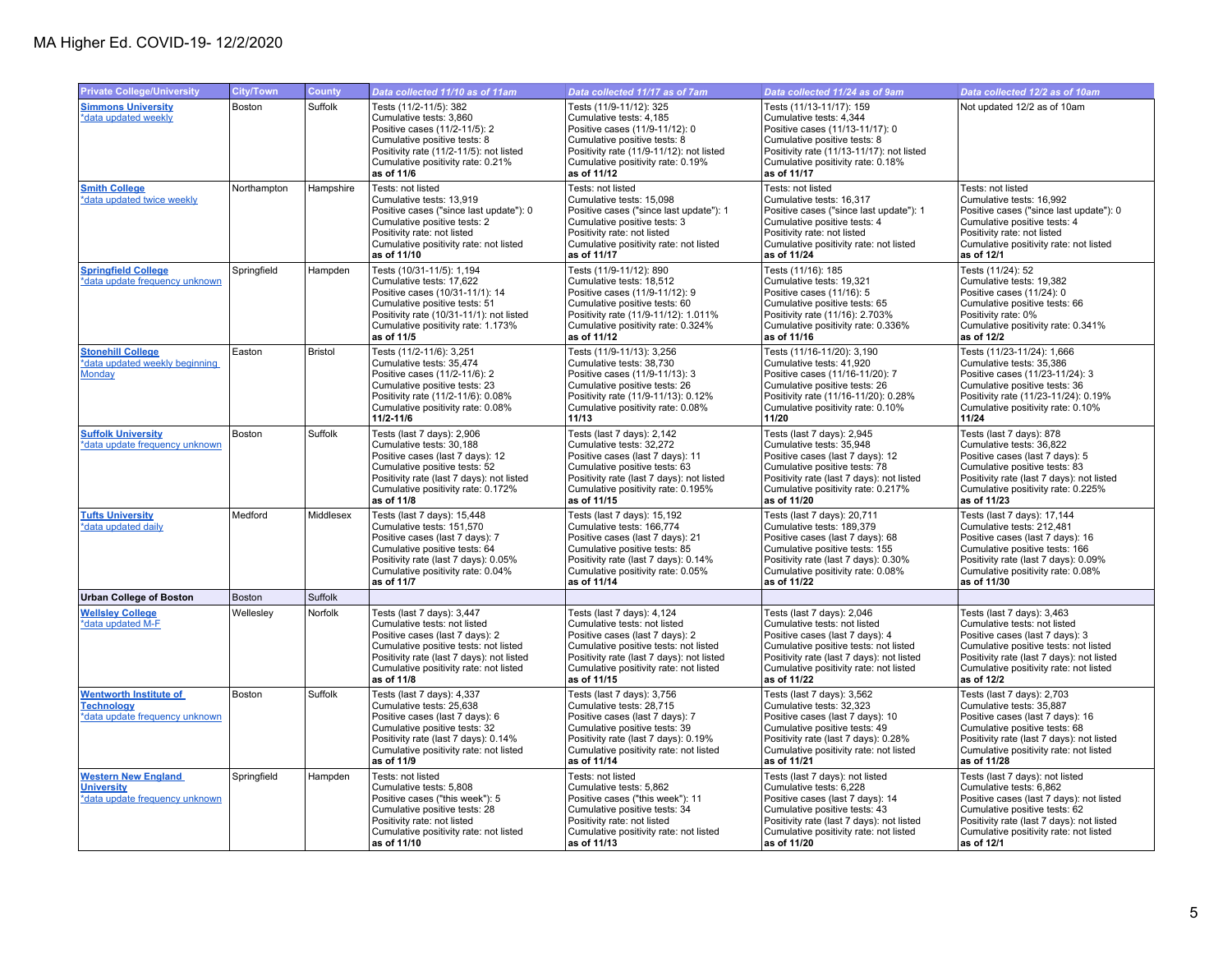| <b>Private College/University</b>                                                    | City/Town     | County         | Data collected 11/10 as of 11am                                                                                                                                                                                                             | Data collected 11/17 as of 7am                                                                                                                                                                                                               | Data collected 11/24 as of 9am                                                                                                                                                                                                               | Data collected 12/2 as of 10am                                                                                                                                                                                                               |
|--------------------------------------------------------------------------------------|---------------|----------------|---------------------------------------------------------------------------------------------------------------------------------------------------------------------------------------------------------------------------------------------|----------------------------------------------------------------------------------------------------------------------------------------------------------------------------------------------------------------------------------------------|----------------------------------------------------------------------------------------------------------------------------------------------------------------------------------------------------------------------------------------------|----------------------------------------------------------------------------------------------------------------------------------------------------------------------------------------------------------------------------------------------|
| <b>Simmons University</b><br>*data updated weekly                                    | <b>Boston</b> | Suffolk        | Tests (11/2-11/5): 382<br>Cumulative tests: 3,860<br>Positive cases (11/2-11/5): 2<br>Cumulative positive tests: 8<br>Positivity rate (11/2-11/5): not listed<br>Cumulative positivity rate: 0.21%<br>as of 11/6                            | Tests (11/9-11/12): 325<br>Cumulative tests: 4,185<br>Positive cases (11/9-11/12): 0<br>Cumulative positive tests: 8<br>Positivity rate (11/9-11/12): not listed<br>Cumulative positivity rate: 0.19%<br>as of 11/12                         | Tests (11/13-11/17): 159<br>Cumulative tests: 4,344<br>Positive cases (11/13-11/17): 0<br>Cumulative positive tests: 8<br>Positivity rate (11/13-11/17): not listed<br>Cumulative positivity rate: 0.18%<br>as of 11/17                      | Not updated 12/2 as of 10am                                                                                                                                                                                                                  |
| <b>Smith College</b><br>*data updated twice weekly                                   | Northampton   | Hampshire      | Tests: not listed<br>Cumulative tests: 13.919<br>Positive cases ("since last update"): 0<br>Cumulative positive tests: 2<br>Positivity rate: not listed<br>Cumulative positivity rate: not listed<br>as of 11/10                            | Tests: not listed<br>Cumulative tests: 15,098<br>Positive cases ("since last update"): 1<br>Cumulative positive tests: 3<br>Positivity rate: not listed<br>Cumulative positivity rate: not listed<br>as of 11/17                             | Tests: not listed<br>Cumulative tests: 16,317<br>Positive cases ("since last update"): 1<br>Cumulative positive tests: 4<br>Positivity rate: not listed<br>Cumulative positivity rate: not listed<br>as of 11/24                             | Tests: not listed<br>Cumulative tests: 16,992<br>Positive cases ("since last update"): 0<br>Cumulative positive tests: 4<br>Positivity rate: not listed<br>Cumulative positivity rate: not listed<br>as of 12/1                              |
| <b>Springfield College</b><br>*data update frequency unknown                         | Springfield   | Hampden        | Tests (10/31-11/5): 1,194<br>Cumulative tests: 17.622<br>Positive cases (10/31-11/1): 14<br>Cumulative positive tests: 51<br>Positivity rate (10/31-11/1): not listed<br>Cumulative positivity rate: 1.173%<br>as of 11/5                   | Tests (11/9-11/12): 890<br>Cumulative tests: 18.512<br>Positive cases (11/9-11/12): 9<br>Cumulative positive tests: 60<br>Positivity rate (11/9-11/12): 1.011%<br>Cumulative positivity rate: 0.324%<br>as of 11/12                          | Tests (11/16): 185<br>Cumulative tests: 19.321<br>Positive cases (11/16): 5<br>Cumulative positive tests: 65<br>Positivity rate (11/16): 2.703%<br>Cumulative positivity rate: 0.336%<br>as of 11/16                                         | Tests (11/24): 52<br>Cumulative tests: 19.382<br>Positive cases (11/24): 0<br>Cumulative positive tests: 66<br>Positivity rate: 0%<br>Cumulative positivity rate: 0.341%<br>as of 12/2                                                       |
| <b>Stonehill College</b><br>*data updated weekly beginning<br><b>Monday</b>          | Easton        | <b>Bristol</b> | Tests (11/2-11/6): 3,251<br>Cumulative tests: 35,474<br>Positive cases (11/2-11/6): 2<br>Cumulative positive tests: 23<br>Positivity rate (11/2-11/6): 0.08%<br>Cumulative positivity rate: 0.08%<br>11/2-11/6                              | Tests (11/9-11/13): 3,256<br>Cumulative tests: 38,730<br>Positive cases (11/9-11/13): 3<br>Cumulative positive tests: 26<br>Positivity rate (11/9-11/13): 0.12%<br>Cumulative positivity rate: 0.08%<br>11/13                                | Tests (11/16-11/20): 3,190<br>Cumulative tests: 41,920<br>Positive cases (11/16-11/20): 7<br>Cumulative positive tests: 26<br>Positivity rate (11/16-11/20): 0.28%<br>Cumulative positivity rate: 0.10%<br>11/20                             | Tests (11/23-11/24): 1,666<br>Cumulative tests: 35,386<br>Positive cases (11/23-11/24): 3<br>Cumulative positive tests: 36<br>Positivity rate (11/23-11/24): 0.19%<br>Cumulative positivity rate: 0.10%<br>11/24                             |
| <b>Suffolk University</b><br>*data update frequency unknown                          | Boston        | Suffolk        | Tests (last 7 days): 2,906<br>Cumulative tests: 30,188<br>Positive cases (last 7 days): 12<br>Cumulative positive tests: 52<br>Positivity rate (last 7 days): not listed<br>Cumulative positivity rate: 0.172%<br>as of 11/8                | Tests (last 7 days): 2,142<br>Cumulative tests: 32,272<br>Positive cases (last 7 days): 11<br>Cumulative positive tests: 63<br>Positivity rate (last 7 days): not listed<br>Cumulative positivity rate: 0.195%<br>as of 11/15                | Tests (last 7 days): 2,945<br>Cumulative tests: 35,948<br>Positive cases (last 7 days): 12<br>Cumulative positive tests: 78<br>Positivity rate (last 7 days): not listed<br>Cumulative positivity rate: 0.217%<br>as of 11/20                | Tests (last 7 days): 878<br>Cumulative tests: 36,822<br>Positive cases (last 7 days): 5<br>Cumulative positive tests: 83<br>Positivity rate (last 7 days): not listed<br>Cumulative positivity rate: 0.225%<br>as of 11/23                   |
| <b>Tufts University</b><br>*data updated daily                                       | Medford       | Middlesex      | Tests (last 7 days): 15,448<br>Cumulative tests: 151,570<br>Positive cases (last 7 days): 7<br>Cumulative positive tests: 64<br>Positivity rate (last 7 days): 0.05%<br>Cumulative positivity rate: 0.04%<br>as of 11/7                     | Tests (last 7 days): 15,192<br>Cumulative tests: 166,774<br>Positive cases (last 7 days): 21<br>Cumulative positive tests: 85<br>Positivity rate (last 7 days): 0.14%<br>Cumulative positivity rate: 0.05%<br>as of 11/14                    | Tests (last 7 days): 20,711<br>Cumulative tests: 189,379<br>Positive cases (last 7 days): 68<br>Cumulative positive tests: 155<br>Positivity rate (last 7 days): 0.30%<br>Cumulative positivity rate: 0.08%<br>as of 11/22                   | Tests (last 7 days): 17,144<br>Cumulative tests: 212,481<br>Positive cases (last 7 days): 16<br>Cumulative positive tests: 166<br>Positivity rate (last 7 days): 0.09%<br>Cumulative positivity rate: 0.08%<br>as of 11/30                   |
| <b>Urban College of Boston</b>                                                       | Boston        | Suffolk        |                                                                                                                                                                                                                                             |                                                                                                                                                                                                                                              |                                                                                                                                                                                                                                              |                                                                                                                                                                                                                                              |
| <b>Wellsley College</b><br>*data updated M-F                                         | Wellesley     | Norfolk        | Tests (last 7 days): 3,447<br>Cumulative tests: not listed<br>Positive cases (last 7 days): 2<br>Cumulative positive tests: not listed<br>Positivity rate (last 7 days): not listed<br>Cumulative positivity rate: not listed<br>as of 11/8 | Tests (last 7 days): 4,124<br>Cumulative tests: not listed<br>Positive cases (last 7 days): 2<br>Cumulative positive tests: not listed<br>Positivity rate (last 7 days): not listed<br>Cumulative positivity rate: not listed<br>as of 11/15 | Tests (last 7 days): 2,046<br>Cumulative tests: not listed<br>Positive cases (last 7 days): 4<br>Cumulative positive tests: not listed<br>Positivity rate (last 7 days): not listed<br>Cumulative positivity rate: not listed<br>as of 11/22 | Tests (last 7 days): 3,463<br>Cumulative tests: not listed<br>Positive cases (last 7 days): 3<br>Cumulative positive tests: not listed<br>Positivity rate (last 7 days): not listed<br>Cumulative positivity rate: not listed<br>as of 12/2  |
| <b>Wentworth Institute of</b><br><b>Technology</b><br>*data update frequency unknown | Boston        | Suffolk        | Tests (last 7 days): 4,337<br>Cumulative tests: 25,638<br>Positive cases (last 7 days): 6<br>Cumulative positive tests: 32<br>Positivity rate (last 7 days): 0.14%<br>Cumulative positivity rate: not listed<br>as of 11/9                  | Tests (last 7 days): 3,756<br>Cumulative tests: 28,715<br>Positive cases (last 7 days): 7<br>Cumulative positive tests: 39<br>Positivity rate (last 7 days): 0.19%<br>Cumulative positivity rate: not listed<br>as of 11/14                  | Tests (last 7 days): 3,562<br>Cumulative tests: 32,323<br>Positive cases (last 7 days): 10<br>Cumulative positive tests: 49<br>Positivity rate (last 7 days): 0.28%<br>Cumulative positivity rate: not listed<br>as of 11/21                 | Tests (last 7 days): 2,703<br>Cumulative tests: 35,887<br>Positive cases (last 7 days): 16<br>Cumulative positive tests: 68<br>Positivity rate (last 7 days): not listed<br>Cumulative positivity rate: not listed<br>as of 11/28            |
| <b>Western New England</b><br><b>University</b><br>*data update frequency unknown    | Springfield   | Hampden        | Tests: not listed<br>Cumulative tests: 5,808<br>Positive cases ("this week"): 5<br>Cumulative positive tests: 28<br>Positivity rate: not listed<br>Cumulative positivity rate: not listed<br>as of 11/10                                    | Tests: not listed<br>Cumulative tests: 5,862<br>Positive cases ("this week"): 11<br>Cumulative positive tests: 34<br>Positivity rate: not listed<br>Cumulative positivity rate: not listed<br>as of 11/13                                    | Tests (last 7 days): not listed<br>Cumulative tests: 6,228<br>Positive cases (last 7 days): 14<br>Cumulative positive tests: 43<br>Positivity rate (last 7 days): not listed<br>Cumulative positivity rate: not listed<br>as of 11/20        | Tests (last 7 days): not listed<br>Cumulative tests: 6,862<br>Positive cases (last 7 days): not listed<br>Cumulative positive tests: 62<br>Positivity rate (last 7 days): not listed<br>Cumulative positivity rate: not listed<br>as of 12/1 |